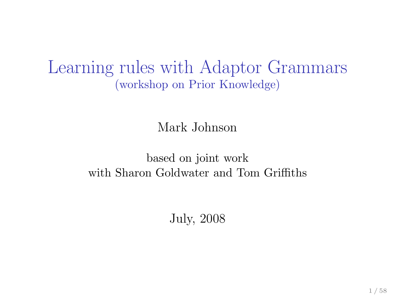Learning rules with Adaptor Grammars (workshop on Prior Knowledge)

Mark Johnson

based on joint work with Sharon Goldwater and Tom Griffiths

July, 2008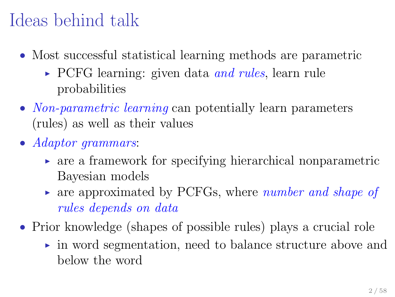### Ideas behind talk

- Most successful statistical learning methods are parametric
	- $\triangleright$  PCFG learning: given data and rules, learn rule probabilities
- Non-parametric learning can potentially learn parameters (rules) as well as their values
- Adaptor grammars:
	- $\triangleright$  are a framework for specifying hierarchical nonparametric Bayesian models
	- $\triangleright$  are approximated by PCFGs, where *number and shape of* rules depends on data
- Prior knowledge (shapes of possible rules) plays a crucial role
	- ► in word segmentation, need to balance structure above and below the word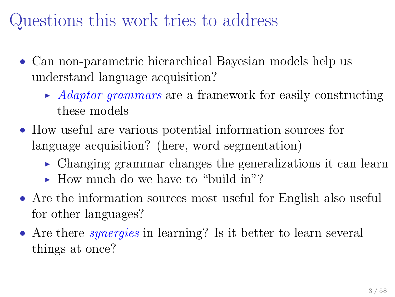### Questions this work tries to address

- Can non-parametric hierarchical Bayesian models help us understand language acquisition?
	- $\blacktriangleright$  Adaptor grammars are a framework for easily constructing these models
- How useful are various potential information sources for language acquisition? (here, word segmentation)
	- ► Changing grammar changes the generalizations it can learn
	- $\blacktriangleright$  How much do we have to "build in"?
- Are the information sources most useful for English also useful for other languages?
- Are there *synergies* in learning? Is it better to learn several things at once?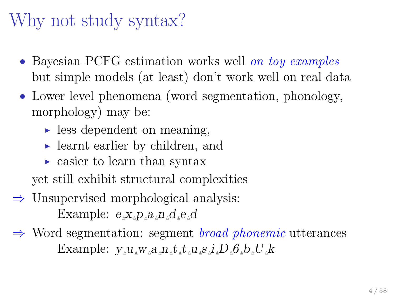# Why not study syntax?

- Bayesian PCFG estimation works well on toy examples but simple models (at least) don't work well on real data
- Lower level phenomena (word segmentation, phonology, morphology) may be:
	- $\blacktriangleright$  less dependent on meaning,
	- ► learnt earlier by children, and
	- $\triangleright$  easier to learn than syntax

yet still exhibit structural complexities

- $\Rightarrow$  Unsupervised morphological analysis: Example:  $e_{\lambda}x_{\lambda}p_{\lambda}a_{\lambda}n_{\lambda}d_{\lambda}e_{\lambda}d$
- $\Rightarrow$  Word segmentation: segment *broad phonemic* utterances Example:  $v_{\alpha}u_{\alpha}w_{\alpha}a_{\alpha}n_{\alpha}t_{\alpha}t_{\alpha}u_{\alpha}s_{\alpha}i_{\alpha}D_{\alpha}G_{\alpha}b_{\alpha}U_{\alpha}k$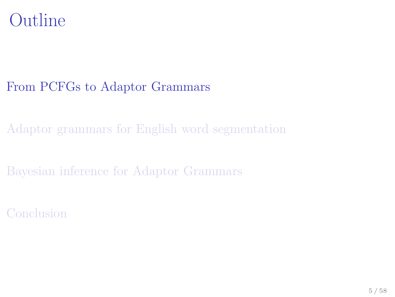#### Outline

#### [From PCFGs to Adaptor Grammars](#page-4-0)

[Adaptor grammars for English word segmentation](#page-29-0)

[Bayesian inference for Adaptor Grammars](#page-41-0)

<span id="page-4-0"></span>[Conclusion](#page-49-0)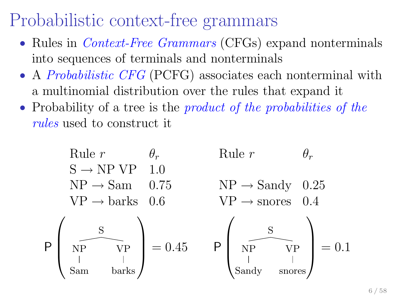#### Probabilistic context-free grammars

- Rules in *Context-Free Grammars* (CFGs) expand nonterminals into sequences of terminals and nonterminals
- A *Probabilistic CFG* (PCFG) associates each nonterminal with a multinomial distribution over the rules that expand it
- Probability of a tree is the *product of the probabilities of the* rules used to construct it

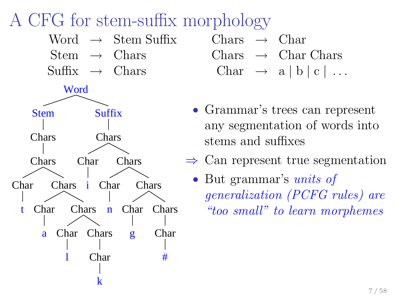## A CFG for stem-suffix morphology



| Chars $\rightarrow$ Char |                                       |  |  |  |
|--------------------------|---------------------------------------|--|--|--|
|                          | Charles $\rightarrow$ Charles Charles |  |  |  |
|                          | Char $\rightarrow$ a   b   c          |  |  |  |

- Grammar's trees can represent any segmentation of words into stems and suffixes
- $\Rightarrow$  Can represent true segmentation
	- But grammar's *units of* generalization (PCFG rules) are "too small" to learn morphemes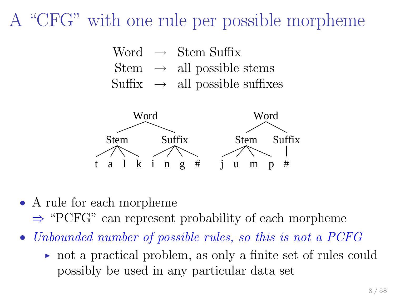#### A "CFG" with one rule per possible morpheme





- A rule for each morpheme
	- ⇒ "PCFG" can represent probability of each morpheme
- Unbounded number of possible rules, so this is not a PCFG
	- ◮ not a practical problem, as only a finite set of rules could possibly be used in any particular data set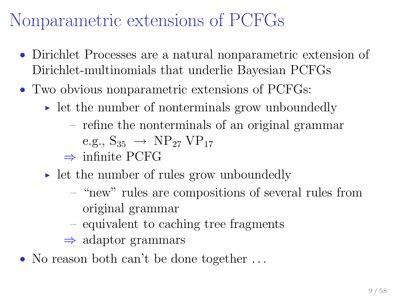#### Nonparametric extensions of PCFGs

- Dirichlet Processes are a natural nonparametric extension of Dirichlet-multinomials that underlie Bayesian PCFGs
- Two obvious nonparametric extensions of PCFGs:
	- $\triangleright$  let the number of nonterminals grow unboundedly
		- refine the nonterminals of an original grammar e.g.,  $S_{35} \rightarrow NP_{27} VP_{17}$
		- $\Rightarrow$  infinite PCFG
	- ► let the number of rules grow unboundedly
		- "new" rules are compositions of several rules from original grammar
		- equivalent to caching tree fragments
		- $\Rightarrow$  adaptor grammars
- No reason both can't be done together ...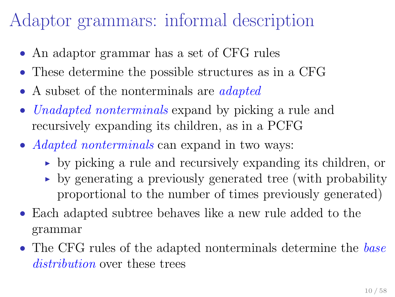#### Adaptor grammars: informal description

- An adaptor grammar has a set of CFG rules
- These determine the possible structures as in a CFG
- A subset of the nonterminals are *adapted*
- Unadapted nonterminals expand by picking a rule and recursively expanding its children, as in a PCFG
- *Adapted nonterminals* can expand in two ways:
	- ◮ by picking a rule and recursively expanding its children, or
	- $\rightarrow$  by generating a previously generated tree (with probability proportional to the number of times previously generated)
- Each adapted subtree behaves like a new rule added to the grammar
- The CFG rules of the adapted nonterminals determine the base distribution over these trees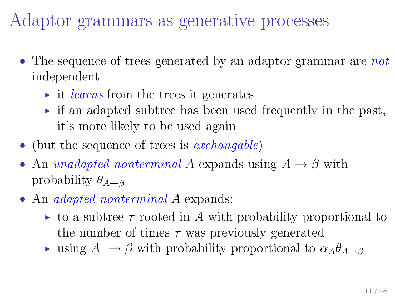Adaptor grammars as generative processes

- The sequence of trees generated by an adaptor grammar are not independent
	- $\rightarrow$  it *learns* from the trees it generates
	- $\triangleright$  if an adapted subtree has been used frequently in the past, it's more likely to be used again
- (but the sequence of trees is *exchangable*)
- An unadapted nonterminal A expands using  $A \rightarrow \beta$  with probability  $\theta_{A\rightarrow B}$
- An *adapted nonterminal A* expands:
	- $\triangleright$  to a subtree  $\tau$  rooted in A with probability proportional to the number of times  $\tau$  was previously generated
	- ightharpoonup using  $A \to \beta$  with probability proportional to  $\alpha_A \theta_{A \to \beta}$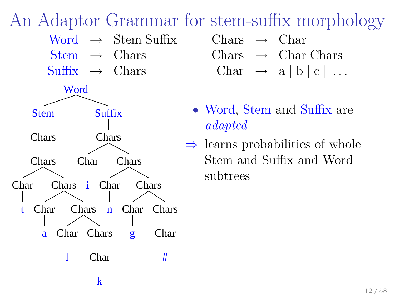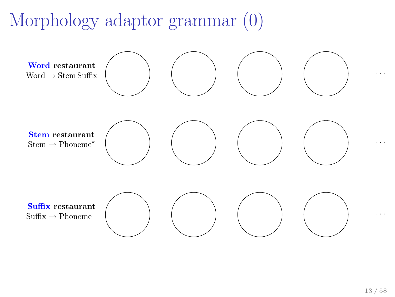# Morphology adaptor grammar (0)

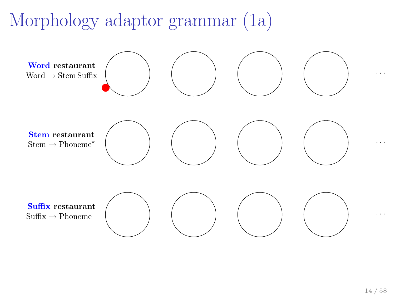# Morphology adaptor grammar (1a)

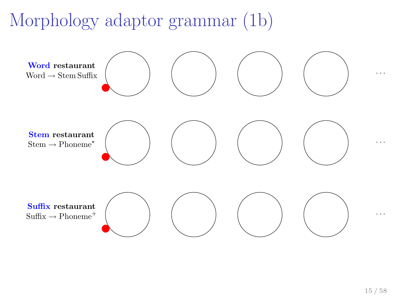# Morphology adaptor grammar (1b)

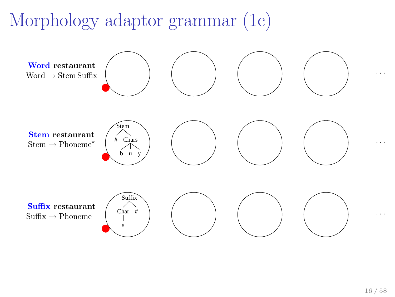# Morphology adaptor grammar (1c)

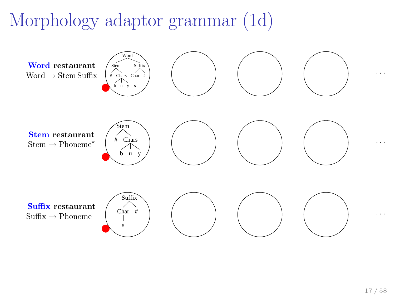# Morphology adaptor grammar (1d)

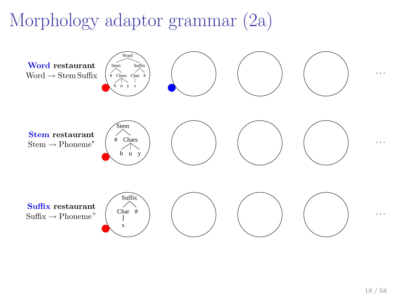# Morphology adaptor grammar (2a)

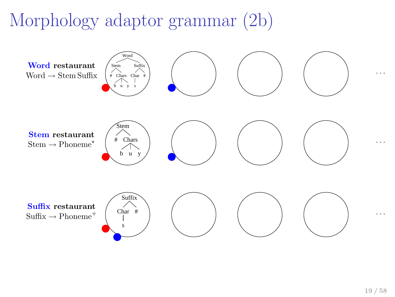# Morphology adaptor grammar (2b)

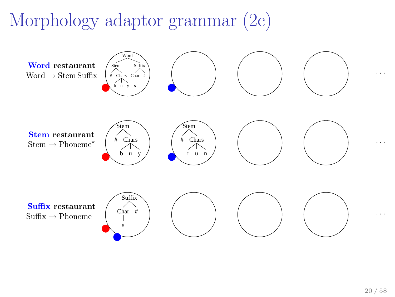# Morphology adaptor grammar (2c)

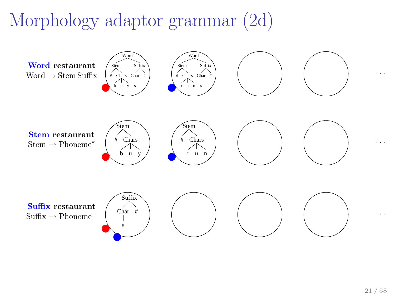# Morphology adaptor grammar (2d)

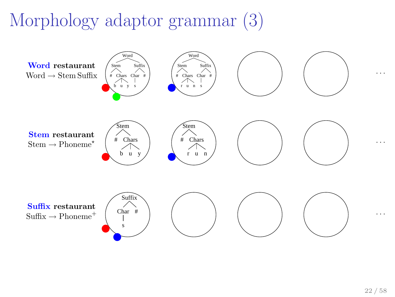# Morphology adaptor grammar (3)

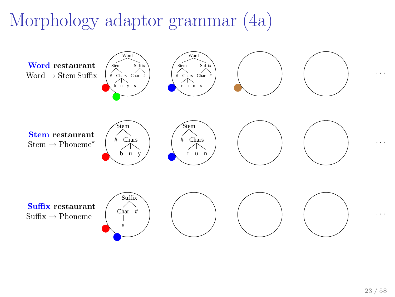# Morphology adaptor grammar (4a)

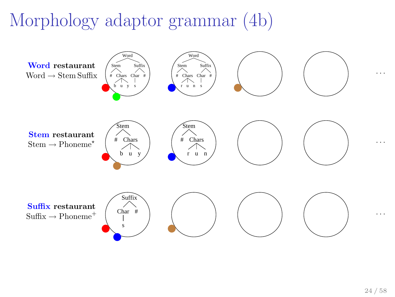# Morphology adaptor grammar (4b)

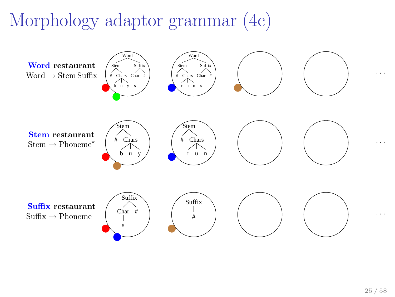# Morphology adaptor grammar (4c)

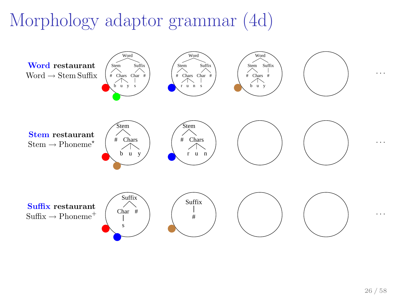# Morphology adaptor grammar (4d)

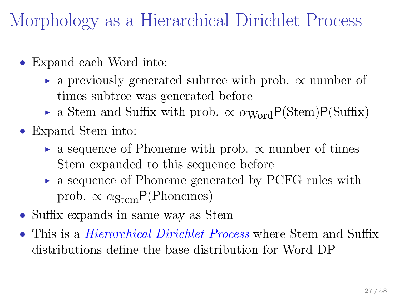Morphology as a Hierarchical Dirichlet Process

- Expand each Word into:
	- $\triangleright$  a previously generated subtree with prob.  $\propto$  number of times subtree was generated before
	- a Stem and Suffix with prob.  $\propto \alpha_{\text{Word}} P(\text{Stem}) P(\text{Suffix})$
- Expand Stem into:
	- $\triangleright$  a sequence of Phoneme with prob.  $\propto$  number of times Stem expanded to this sequence before
	- ► a sequence of Phoneme generated by PCFG rules with prob.  $\propto \alpha_{\text{Stem}} P(\text{Phonemes})$
- Suffix expands in same way as Stem
- This is a *Hierarchical Dirichlet Process* where Stem and Suffix distributions define the base distribution for Word DP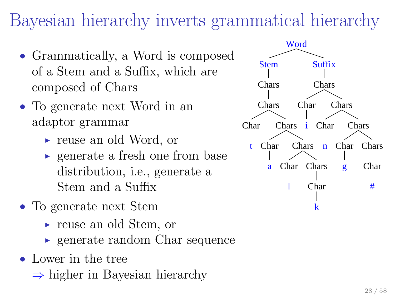## Bayesian hierarchy inverts grammatical hierarchy

- Grammatically, a Word is composed of a Stem and a Suffix, which are composed of Chars
- To generate next Word in an adaptor grammar
	- ► reuse an old Word, or
	- $\rightarrow$  generate a fresh one from base distribution, i.e., generate a Stem and a Suffix
- To generate next Stem
	- ► reuse an old Stem, or
	- $\rightarrow$  generate random Char sequence
- Lower in the tree
	- ⇒ higher in Bayesian hierarchy

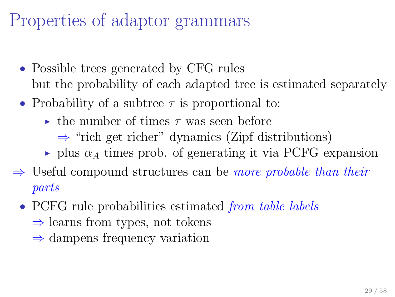## Properties of adaptor grammars

- Possible trees generated by CFG rules but the probability of each adapted tree is estimated separately
- Probability of a subtree  $\tau$  is proportional to:
	- $\rightarrow$  the number of times  $\tau$  was seen before
		- $\Rightarrow$  "rich get richer" dynamics (Zipf distributions)
	- $\rightarrow$  plus  $\alpha_A$  times prob. of generating it via PCFG expansion
- $\Rightarrow$  Useful compound structures can be *more probable than their* parts
	- PCFG rule probabilities estimated *from table labels* 
		- $\Rightarrow$  learns from types, not tokens
		- $\Rightarrow$  dampens frequency variation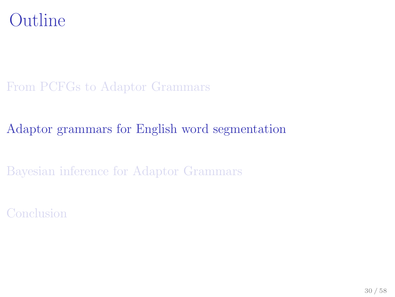

#### [From PCFGs to Adaptor Grammars](#page-4-0)

#### [Adaptor grammars for English word segmentation](#page-29-0)

[Bayesian inference for Adaptor Grammars](#page-41-0)

<span id="page-29-0"></span>[Conclusion](#page-49-0)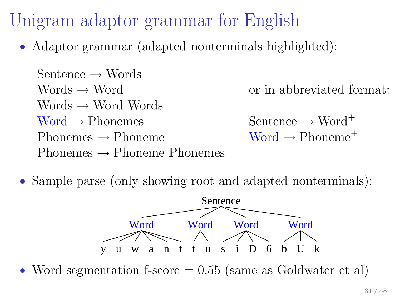# Unigram adaptor grammar for English

• Adaptor grammar (adapted nonterminals highlighted):

Sentence  $\rightarrow$  Words Words  $\rightarrow$  Word Words  $\rightarrow$  Word Words  $Word \rightarrow Phonemes$ Phonemes  $\rightarrow$  Phoneme Phonemes  $\rightarrow$  Phonemes Phonemes or in abbreviated format: Sentence  $\rightarrow$  Word<sup>+</sup>  $Word \rightarrow Phone^{+}$ 

• Sample parse (only showing root and adapted nonterminals):



• Word segmentation f-score  $= 0.55$  (same as Goldwater et al)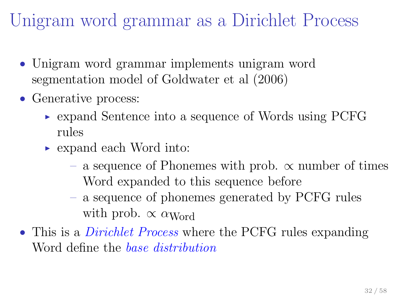## Unigram word grammar as a Dirichlet Process

- Unigram word grammar implements unigram word segmentation model of Goldwater et al (2006)
- Generative process:
	- ► expand Sentence into a sequence of Words using PCFG rules
	- ► expand each Word into:
		- a sequence of Phonemes with prob. ∝ number of times Word expanded to this sequence before
		- a sequence of phonemes generated by PCFG rules with prob.  $\propto \alpha_{\text{Word}}$
- This is a *Dirichlet Process* where the PCFG rules expanding Word define the *base distribution*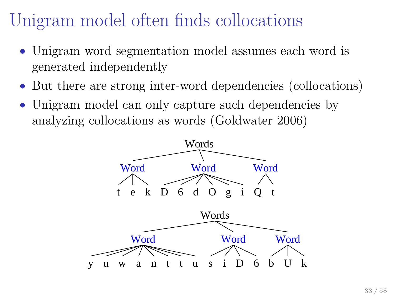## Unigram model often finds collocations

- Unigram word segmentation model assumes each word is generated independently
- But there are strong inter-word dependencies (collocations)
- Unigram model can only capture such dependencies by analyzing collocations as words (Goldwater 2006)

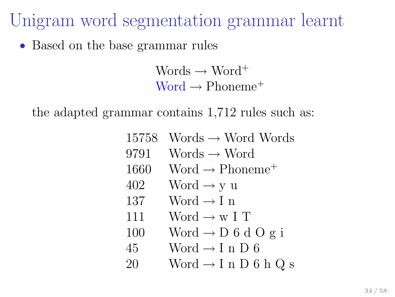Unigram word segmentation grammar learnt

• Based on the base grammar rules

Words  $\rightarrow$  Word<sup>+</sup>  $Word \rightarrow Phoneme^+$ 

the adapted grammar contains 1,712 rules such as:

| 15758 | Words $\rightarrow$ Word Words          |
|-------|-----------------------------------------|
| 9791  | Words $\rightarrow$ Word                |
| 1660  | Word $\rightarrow$ Phoneme <sup>+</sup> |
| 402   | Word $\rightarrow$ y u                  |
| 137   | Word $\rightarrow$ I n                  |
| 111   | Word $\rightarrow$ w I T                |
| 100   | Word $\rightarrow$ D 6 d O g i          |
| 45    | Word $\rightarrow$ I n D 6              |
| 20    | Word $\rightarrow$ I n D 6 h Q s        |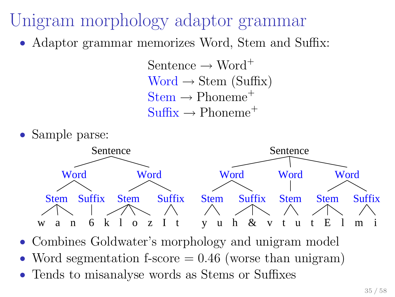- Unigram morphology adaptor grammar
	- Adaptor grammar memorizes Word, Stem and Suffix:

Sentence  $\rightarrow$  Word<sup>+</sup>  $Word \rightarrow Stem(Suffix)$  $Stem \rightarrow Phoneme^+$  $\text{Suffix} \rightarrow \text{Phone}^+$ 





- Combines Goldwater's morphology and unigram model
- Word segmentation f-score  $= 0.46$  (worse than unigram)
- Tends to misanalyse words as Stems or Suffixes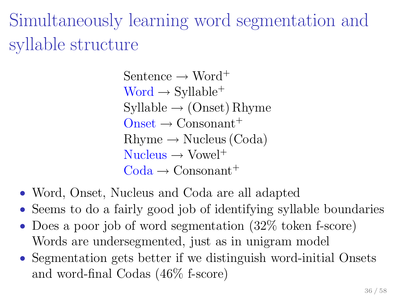Simultaneously learning word segmentation and syllable structure

> Sentence  $\rightarrow$  Word<sup>+</sup>  $Word \rightarrow Syllable^+$  $Syllable \rightarrow (Onset) Rhyme$  $O$ nset  $\rightarrow$  Consonant<sup>+</sup>  $Rhvme \rightarrow Nucleus (Coda)$  $Nucleus \rightarrow Vowel^+$  $\text{Coda} \rightarrow \text{Consonant}^+$

- Word, Onset, Nucleus and Coda are all adapted
- Seems to do a fairly good job of identifying syllable boundaries
- Does a poor job of word segmentation (32\% token f-score) Words are undersegmented, just as in unigram model
- Segmentation gets better if we distinguish word-initial Onsets and word-final Codas (46% f-score)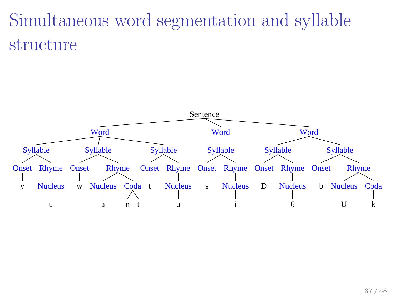# Simultaneous word segmentation and syllable structure

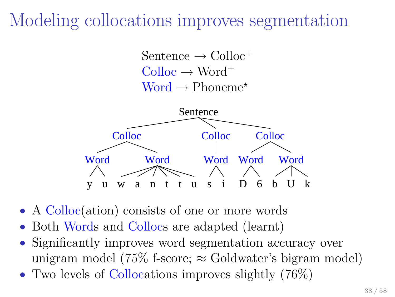## Modeling collocations improves segmentation

Sentence  $\rightarrow$  Colloc<sup>+</sup>  $\text{Colloc} \rightarrow \text{Word}^+$  $Word \rightarrow Phoneme^*$ 



- A Colloc(ation) consists of one or more words
- Both Words and Collocs are adapted (learnt)
- Significantly improves word segmentation accuracy over unigram model (75% f-score;  $\approx$  Goldwater's bigram model)
- Two levels of Collocations improves slightly (76%)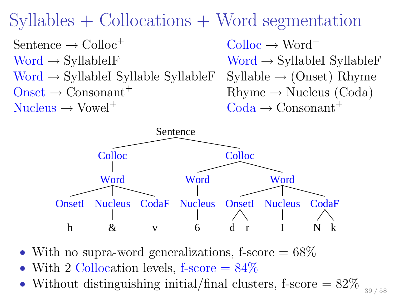Syllables + Collocations + Word segmentation

 $\text{Sentence} \rightarrow \text{Colloc}^+$   $\text{Colloc} \rightarrow \text{Word}^+$  $Word \rightarrow SyllableIF$  Word  $\rightarrow SyllableIF$ Word  $\rightarrow$  SyllableI Syllable SyllableF Syllable  $\rightarrow$  (Onset) Rhyme  $Onset \rightarrow Consonant^+$  Rhyme  $\rightarrow$  Nucleus (Coda)  $Nucleus \rightarrow Vowel^+$   $\text{Coda} \rightarrow \text{Consonant}^+$ 



- With no supra-word generalizations, f-score  $= 68\%$
- With 2 Collocation levels, f-score  $= 84\%$
- Without distinguishing initial/final clusters, f-score =  $82\%$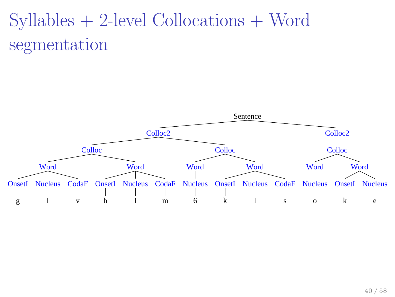# Syllables + 2-level Collocations + Word segmentation

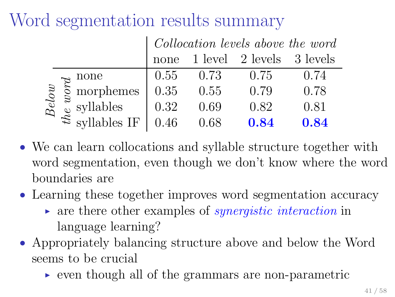## Word segmentation results summary

|  |                                                                                                                                   | Collocation levels above the word |      |                                      |      |  |  |
|--|-----------------------------------------------------------------------------------------------------------------------------------|-----------------------------------|------|--------------------------------------|------|--|--|
|  |                                                                                                                                   |                                   |      | none $1$ level $2$ levels $3$ levels |      |  |  |
|  |                                                                                                                                   | 0.55                              | 0.73 | 0.75                                 | 0.74 |  |  |
|  | $\frac{1}{8}$ $\frac{1}{8}$ morphemes                                                                                             | $\mid$ 0.35                       | 0.55 | 0.79                                 | 0.78 |  |  |
|  |                                                                                                                                   |                                   | 0.69 | 0.82                                 | 0.81 |  |  |
|  | $\mathbb{R}^3$ $\stackrel{\approx}{\approx}$ syllables IF $\Big  0.32$<br>$\stackrel{\approx}{\approx}$ syllables IF $\Big  0.46$ |                                   | 0.68 | 0.84                                 | 0.84 |  |  |

- We can learn collocations and syllable structure together with word segmentation, even though we don't know where the word boundaries are
- Learning these together improves word segmentation accuracy
	- $\rightarrow$  are there other examples of *synergistic interaction* in language learning?
- Appropriately balancing structure above and below the Word seems to be crucial
	- ► even though all of the grammars are non-parametric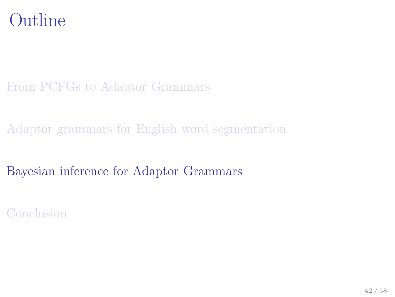

#### [From PCFGs to Adaptor Grammars](#page-4-0)

[Adaptor grammars for English word segmentation](#page-29-0)

[Bayesian inference for Adaptor Grammars](#page-41-0)

<span id="page-41-0"></span>[Conclusion](#page-49-0)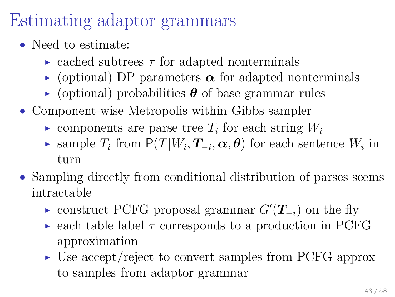# Estimating adaptor grammars

- Need to estimate:
	- ightharpoontenance carriers  $\tau$  for adapted nonterminals
	- $\rightarrow$  (optional) DP parameters  $\alpha$  for adapted nonterminals
	- $\rightarrow$  (optional) probabilities  $\theta$  of base grammar rules
- Component-wise Metropolis-within-Gibbs sampler
	- components are parse tree  $T_i$  for each string  $W_i$
	- ► sample  $T_i$  from  $P(T|W_i, T_{-i}, \alpha, \theta)$  for each sentence  $W_i$  in turn
- Sampling directly from conditional distribution of parses seems intractable
	- ► construct PCFG proposal grammar  $G'(\mathbf{T}_{-i})$  on the fly
	- $\triangleright$  each table label  $\tau$  corresponds to a production in PCFG approximation
	- ► Use accept/reject to convert samples from PCFG approx to samples from adaptor grammar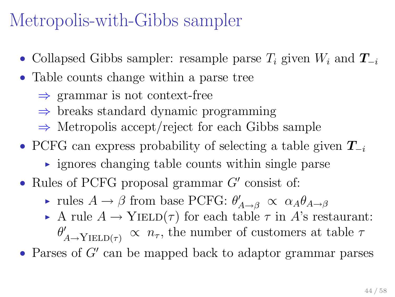### Metropolis-with-Gibbs sampler

- Collapsed Gibbs sampler: resample parse  $T_i$  given  $W_i$  and  $T_{-i}$
- Table counts change within a parse tree
	- $\Rightarrow$  grammar is not context-free
	- $\Rightarrow$  breaks standard dynamic programming
	- ⇒ Metropolis accept/reject for each Gibbs sample
- PCFG can express probability of selecting a table given  $T_{-i}$ 
	- $\rightarrow$  ignores changing table counts within single parse
- Rules of PCFG proposal grammar  $G'$  consist of:
	- rules  $A \to \beta$  from base PCFG:  $\theta'_{A \to \beta} \propto \alpha_A \theta_{A \to \beta}$
	- A rule  $A \to$  YIELD( $\tau$ ) for each table  $\tau$  in A's restaurant:  $\theta'_{A\rightarrow \text{YIELD}(\tau)} \propto n_{\tau}$ , the number of customers at table  $\tau$

 $\bullet$  Parses of  $G'$  can be mapped back to adaptor grammar parses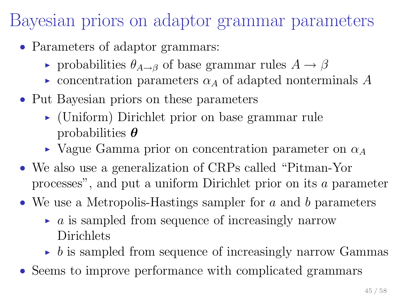### Bayesian priors on adaptor grammar parameters

- Parameters of adaptor grammars:
	- robabilities  $\theta_{A\rightarrow B}$  of base grammar rules  $A \rightarrow \beta$
	- $\triangleright$  concentration parameters  $\alpha_A$  of adapted nonterminals A
- Put Bayesian priors on these parameters
	- ► (Uniform) Dirichlet prior on base grammar rule probabilities  $\boldsymbol{\theta}$
	- $\triangleright$  Vague Gamma prior on concentration parameter on  $\alpha_A$
- We also use a generalization of CRPs called "Pitman-Yor processes", and put a uniform Dirichlet prior on its a parameter
- We use a Metropolis-Hastings sampler for  $a$  and  $b$  parameters
	- $\rightarrow$  a is sampled from sequence of increasingly narrow Dirichlets
	- $\rightarrow$  b is sampled from sequence of increasingly narrow Gammas
- Seems to improve performance with complicated grammars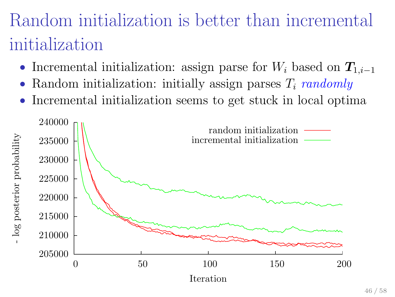# Random initialization is better than incremental initialization

- Incremental initialization: assign parse for  $W_i$  based on  $T_{1,i-1}$
- Random initialization: initially assign parses  $T_i$  randomly
- Incremental initialization seems to get stuck in local optima

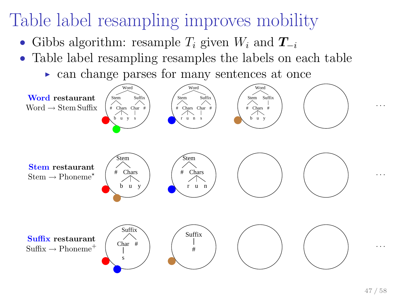# Table label resampling improves mobility

- Gibbs algorithm: resample  $T_i$  given  $W_i$  and  $T_{-i}$
- Table label resampling resamples the labels on each table
	- ► can change parses for many sentences at once



. . .

. . .

. . .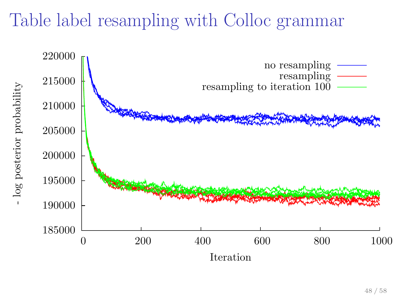### Table label resampling with Colloc grammar

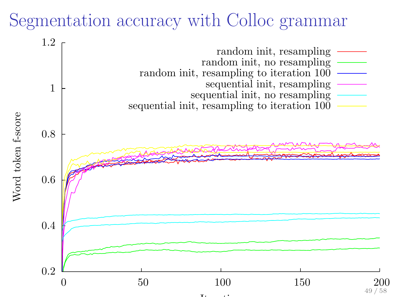#### Segmentation accuracy with Colloc grammar

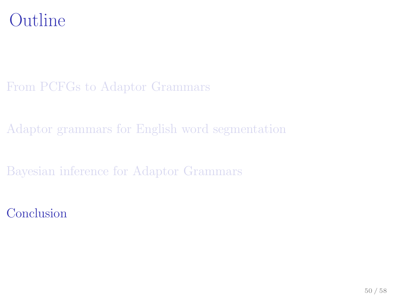#### Outline

#### [From PCFGs to Adaptor Grammars](#page-4-0)

[Adaptor grammars for English word segmentation](#page-29-0)

[Bayesian inference for Adaptor Grammars](#page-41-0)

<span id="page-49-0"></span>[Conclusion](#page-49-0)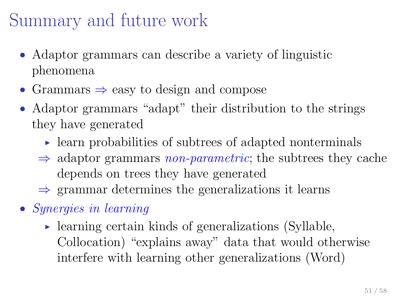#### Summary and future work

- Adaptor grammars can describe a variety of linguistic phenomena
- Grammars  $\Rightarrow$  easy to design and compose
- Adaptor grammars "adapt" their distribution to the strings they have generated
	- $\triangleright$  learn probabilities of subtrees of adapted nonterminals
	- $\Rightarrow$  adaptor grammars *non-parametric*; the subtrees they cache depends on trees they have generated
	- $\Rightarrow$  grammar determines the generalizations it learns
- Synergies in learning
	- $\triangleright$  learning certain kinds of generalizations (Syllable, Collocation) "explains away" data that would otherwise interfere with learning other generalizations (Word)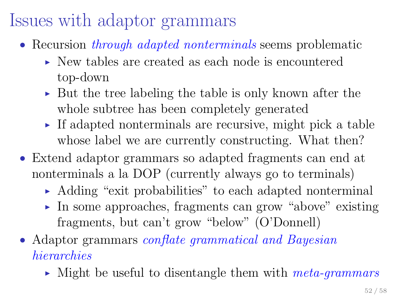## Issues with adaptor grammars

- Recursion *through adapted nonterminals* seems problematic
	- $\triangleright$  New tables are created as each node is encountered top-down
	- ► But the tree labeling the table is only known after the whole subtree has been completely generated
	- $\triangleright$  If adapted nonterminals are recursive, might pick a table whose label we are currently constructing. What then?
- Extend adaptor grammars so adapted fragments can end at nonterminals a la DOP (currently always go to terminals)
	- ► Adding "exit probabilities" to each adapted nonterminal
	- ► In some approaches, fragments can grow "above" existing fragments, but can't grow "below" (O'Donnell)
- Adaptor grammars *conflate grammatical and Bayesian* hierarchies
	- $\blacktriangleright$  Might be useful to disentangle them with *meta-grammars*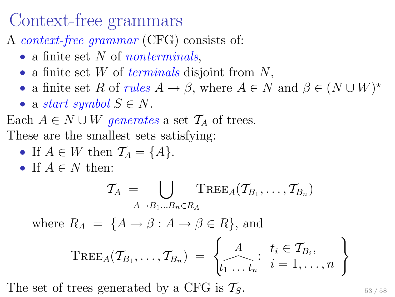#### Context-free grammars

A context-free grammar (CFG) consists of:

- a finite set  $N$  of *nonterminals*,
- a finite set W of *terminals* disjoint from  $N$ ,
- a finite set R of rules  $A \to \beta$ , where  $A \in N$  and  $\beta \in (N \cup W)^*$
- a start symbol  $S \in N$ .

Each  $A \in N \cup W$  generates a set  $\mathcal{T}_A$  of trees. These are the smallest sets satisfying:

- If  $A \in W$  then  $\mathcal{T}_A = \{A\}.$
- If  $A \in N$  then:

$$
\mathcal{T}_A = \bigcup_{A \to B_1...B_n \in R_A} \text{Tree}_A(\mathcal{T}_{B_1}, \dots, \mathcal{T}_{B_n})
$$

where  $R_A = \{A \rightarrow \beta : A \rightarrow \beta \in R\}$ , and

$$
\mathrm{TREE}_{A}(\mathcal{T}_{B_1},\ldots,\mathcal{T}_{B_n}) = \left\{\begin{matrix} A & t_i \in \mathcal{T}_{B_i}, \\ \cdots & t_n & i = 1,\ldots,n \end{matrix}\right\}
$$

The set of trees generated by a CFG is  $\mathcal{T}_S$ .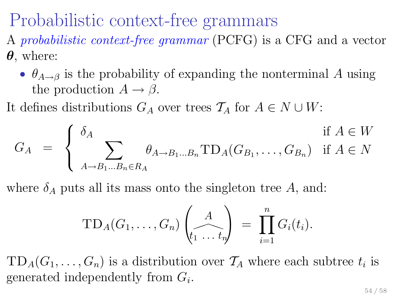#### Probabilistic context-free grammars

- A probabilistic context-free grammar (PCFG) is a CFG and a vector  $\theta$ , where:
	- $\theta_{A\rightarrow\beta}$  is the probability of expanding the nonterminal A using the production  $A \rightarrow \beta$ .
- It defines distributions  $G_A$  over trees  $\mathcal{T}_A$  for  $A \in N \cup W$ :

$$
G_A = \begin{cases} \delta_A & \text{if } A \in W \\ \sum_{A \to B_1 \dots B_n \in R_A} \theta_{A \to B_1 \dots B_n} \text{TD}_A(G_{B_1}, \dots, G_{B_n}) & \text{if } A \in N \end{cases}
$$

where  $\delta_A$  puts all its mass onto the singleton tree A, and:

$$
TD_A(G_1,\ldots,G_n)\begin{pmatrix}A\\t_1\ldots t_n\end{pmatrix} = \prod_{i=1}^n G_i(t_i).
$$

 $TD_A(G_1, \ldots, G_n)$  is a distribution over  $\mathcal{T}_A$  where each subtree  $t_i$  is generated independently from  $G_i$ .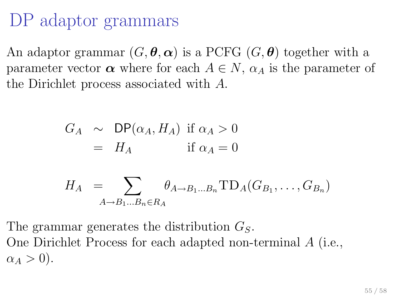# DP adaptor grammars

An adaptor grammar  $(G, \theta, \alpha)$  is a PCFG  $(G, \theta)$  together with a parameter vector  $\alpha$  where for each  $A \in N$ ,  $\alpha_A$  is the parameter of the Dirichlet process associated with A.

$$
G_A \sim \text{DP}(\alpha_A, H_A) \text{ if } \alpha_A > 0
$$
  
=  $H_A$  if  $\alpha_A = 0$ 

$$
H_A = \sum_{A \to B_1...B_n \in R_A} \theta_{A \to B_1...B_n} \text{TD}_A(G_{B_1}, \dots, G_{B_n})
$$

The grammar generates the distribution  $G<sub>S</sub>$ . One Dirichlet Process for each adapted non-terminal A (i.e.,  $\alpha_A > 0$ ).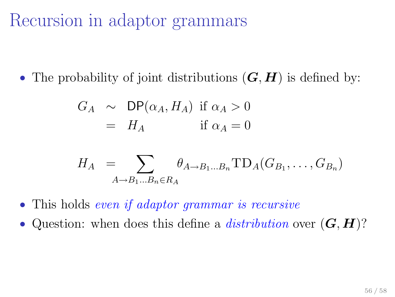#### Recursion in adaptor grammars

• The probability of joint distributions  $(G, H)$  is defined by:

$$
G_A \sim \text{DP}(\alpha_A, H_A) \text{ if } \alpha_A > 0
$$
  
=  $H_A$  if  $\alpha_A = 0$ 

$$
H_A = \sum_{A \to B_1...B_n \in R_A} \theta_{A \to B_1...B_n} \text{TD}_A(G_{B_1}, \dots, G_{B_n})
$$

- This holds even if adaptor grammar is recursive
- Question: when does this define a *distribution* over  $(G, H)$ ?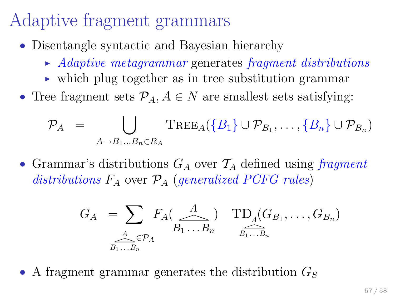## Adaptive fragment grammars

- Disentangle syntactic and Bayesian hierarchy
	- $\rightarrow$  Adaptive metagrammar generates fragment distributions
	- $\triangleright$  which plug together as in tree substitution grammar
- Tree fragment sets  $\mathcal{P}_A, A \in \mathbb{N}$  are smallest sets satisfying:

$$
\mathcal{P}_A = \bigcup_{A \to B_1...B_n \in R_A} \text{Tree}_A(\{B_1\} \cup \mathcal{P}_{B_1}, \dots, \{B_n\} \cup \mathcal{P}_{B_n})
$$

• Grammar's distributions  $G_A$  over  $\mathcal{T}_A$  defined using fragment distributions  $F_A$  over  $\mathcal{P}_A$  (generalized PCFG rules)

$$
G_A = \sum_{\substack{A \\ B_1 \ldots B_n}} F_A(\underbrace{A}_{B_1 \ldots B_n}) \quad \prod_{\substack{B_1 \ldots B_n \\ B_1 \ldots B_n}} (G_{B_1}, \ldots, G_{B_n})
$$

• A fragment grammar generates the distribution  $G_S$